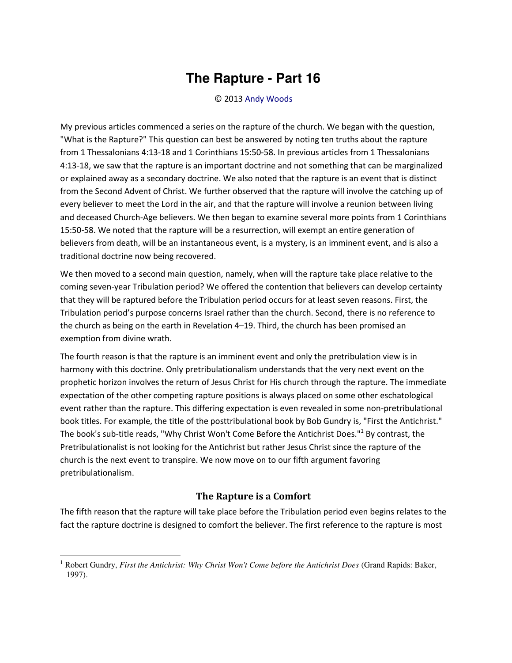## **The Rapture - Part 16**

## © 2013 [Andy Woods](http://www.spiritandtruth.org/id/aw.htm)

My previous articles commenced a series on the rapture of the church. We began with the question, "What is the Rapture?" This question can best be answered by noting ten truths about the rapture from 1 Thessalonians 4:13-18 and 1 Corinthians 15:50-58. In previous articles from 1 Thessalonians 4:13-18, we saw that the rapture is an important doctrine and not something that can be marginalized or explained away as a secondary doctrine. We also noted that the rapture is an event that is distinct from the Second Advent of Christ. We further observed that the rapture will involve the catching up of every believer to meet the Lord in the air, and that the rapture will involve a reunion between living and deceased Church-Age believers. We then began to examine several more points from 1 Corinthians 15:50-58. We noted that the rapture will be a resurrection, will exempt an entire generation of believers from death, will be an instantaneous event, is a mystery, is an imminent event, and is also a traditional doctrine now being recovered.

We then moved to a second main question, namely, when will the rapture take place relative to the coming seven-year Tribulation period? We offered the contention that believers can develop certainty that they will be raptured before the Tribulation period occurs for at least seven reasons. First, the Tribulation period's purpose concerns Israel rather than the church. Second, there is no reference to the church as being on the earth in Revelation 4–19. Third, the church has been promised an exemption from divine wrath.

The fourth reason is that the rapture is an imminent event and only the pretribulation view is in harmony with this doctrine. Only pretribulationalism understands that the very next event on the prophetic horizon involves the return of Jesus Christ for His church through the rapture. The immediate expectation of the other competing rapture positions is always placed on some other eschatological event rather than the rapture. This differing expectation is even revealed in some non-pretribulational book titles. For example, the title of the posttribulational book by Bob Gundry is, "First the Antichrist." The book's sub-title reads, "Why Christ Won't Come Before the Antichrist Does."<sup>1</sup> By contrast, the Pretribulationalist is not looking for the Antichrist but rather Jesus Christ since the rapture of the church is the next event to transpire. We now move on to our fifth argument favoring pretribulationalism.

## **The Rapture is a Comfort**

The fifth reason that the rapture will take place before the Tribulation period even begins relates to the fact the rapture doctrine is designed to comfort the believer. The first reference to the rapture is most

 $\overline{\phantom{0}}$ 

<sup>1</sup> Robert Gundry, *First the Antichrist: Why Christ Won't Come before the Antichrist Does* (Grand Rapids: Baker, 1997).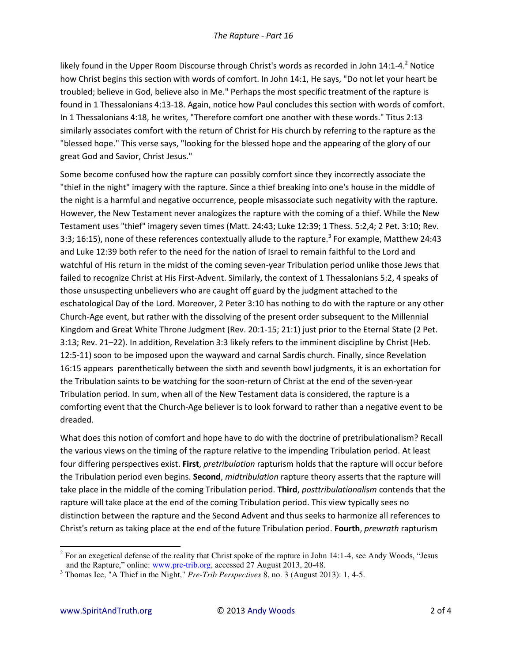likely found in the Upper Room Discourse through Christ's words as recorded in John 14:1-4.<sup>2</sup> Notice how Christ begins this section with words of comfort. In John 14:1, He says, "Do not let your heart be troubled; believe in God, believe also in Me." Perhaps the most specific treatment of the rapture is found in 1 Thessalonians 4:13-18. Again, notice how Paul concludes this section with words of comfort. In 1 Thessalonians 4:18, he writes, "Therefore comfort one another with these words." Titus 2:13 similarly associates comfort with the return of Christ for His church by referring to the rapture as the "blessed hope." This verse says, "looking for the blessed hope and the appearing of the glory of our great God and Savior, Christ Jesus."

Some become confused how the rapture can possibly comfort since they incorrectly associate the "thief in the night" imagery with the rapture. Since a thief breaking into one's house in the middle of the night is a harmful and negative occurrence, people misassociate such negativity with the rapture. However, the New Testament never analogizes the rapture with the coming of a thief. While the New Testament uses "thief" imagery seven times (Matt. 24:43; Luke 12:39; 1 Thess. 5:2,4; 2 Pet. 3:10; Rev. 3:3; 16:15), none of these references contextually allude to the rapture.<sup>3</sup> For example, Matthew 24:43 and Luke 12:39 both refer to the need for the nation of Israel to remain faithful to the Lord and watchful of His return in the midst of the coming seven-year Tribulation period unlike those Jews that failed to recognize Christ at His First-Advent. Similarly, the context of 1 Thessalonians 5:2, 4 speaks of those unsuspecting unbelievers who are caught off guard by the judgment attached to the eschatological Day of the Lord. Moreover, 2 Peter 3:10 has nothing to do with the rapture or any other Church-Age event, but rather with the dissolving of the present order subsequent to the Millennial Kingdom and Great White Throne Judgment (Rev. 20:1-15; 21:1) just prior to the Eternal State (2 Pet. 3:13; Rev. 21–22). In addition, Revelation 3:3 likely refers to the imminent discipline by Christ (Heb. 12:5-11) soon to be imposed upon the wayward and carnal Sardis church. Finally, since Revelation 16:15 appears parenthetically between the sixth and seventh bowl judgments, it is an exhortation for the Tribulation saints to be watching for the soon-return of Christ at the end of the seven-year Tribulation period. In sum, when all of the New Testament data is considered, the rapture is a comforting event that the Church-Age believer is to look forward to rather than a negative event to be dreaded.

What does this notion of comfort and hope have to do with the doctrine of pretribulationalism? Recall the various views on the timing of the rapture relative to the impending Tribulation period. At least four differing perspectives exist. **First**, *pretribulation* rapturism holds that the rapture will occur before the Tribulation period even begins. **Second**, *midtribulation* rapture theory asserts that the rapture will take place in the middle of the coming Tribulation period. **Third**, *posttribulationalism* contends that the rapture will take place at the end of the coming Tribulation period. This view typically sees no distinction between the rapture and the Second Advent and thus seeks to harmonize all references to Christ's return as taking place at the end of the future Tribulation period. **Fourth**, *prewrath* rapturism

 $\overline{a}$ <sup>2</sup> For an exegetical defense of the reality that Christ spoke of the rapture in John 14:1-4, see Andy Woods, "Jesus and the Rapture," online: www.pre-trib.org, accessed 27 August 2013, 20-48.

<sup>3</sup> Thomas Ice, "A Thief in the Night," *Pre-Trib Perspectives* 8, no. 3 (August 2013): 1, 4-5.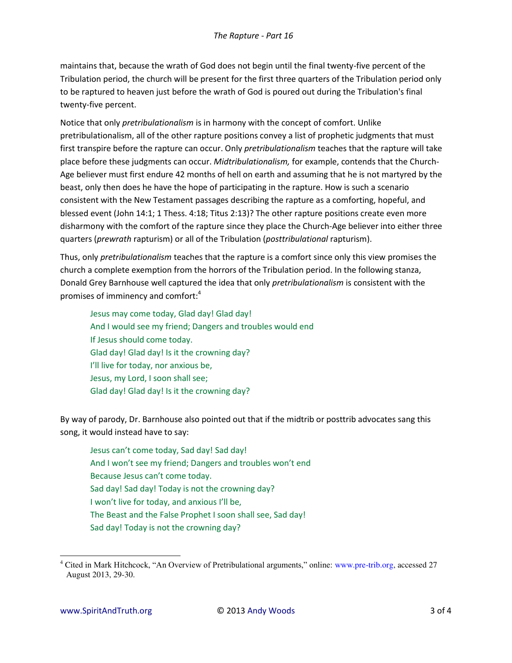maintains that, because the wrath of God does not begin until the final twenty-five percent of the Tribulation period, the church will be present for the first three quarters of the Tribulation period only to be raptured to heaven just before the wrath of God is poured out during the Tribulation's final twenty-five percent.

Notice that only *pretribulationalism* is in harmony with the concept of comfort. Unlike pretribulationalism, all of the other rapture positions convey a list of prophetic judgments that must first transpire before the rapture can occur. Only *pretribulationalism* teaches that the rapture will take place before these judgments can occur. *Midtribulationalism,* for example, contends that the Church-Age believer must first endure 42 months of hell on earth and assuming that he is not martyred by the beast, only then does he have the hope of participating in the rapture. How is such a scenario consistent with the New Testament passages describing the rapture as a comforting, hopeful, and blessed event (John 14:1; 1 Thess. 4:18; Titus 2:13)? The other rapture positions create even more disharmony with the comfort of the rapture since they place the Church-Age believer into either three quarters (*prewrath* rapturism) or all of the Tribulation (*posttribulational* rapturism).

Thus, only *pretribulationalism* teaches that the rapture is a comfort since only this view promises the church a complete exemption from the horrors of the Tribulation period. In the following stanza, Donald Grey Barnhouse well captured the idea that only *pretribulationalism* is consistent with the promises of imminency and comfort:<sup>4</sup>

Jesus may come today, Glad day! Glad day! And I would see my friend; Dangers and troubles would end If Jesus should come today. Glad day! Glad day! Is it the crowning day? I'll live for today, nor anxious be, Jesus, my Lord, I soon shall see; Glad day! Glad day! Is it the crowning day?

By way of parody, Dr. Barnhouse also pointed out that if the midtrib or posttrib advocates sang this song, it would instead have to say:

Jesus can't come today, Sad day! Sad day! And I won't see my friend; Dangers and troubles won't end Because Jesus can't come today. Sad day! Sad day! Today is not the crowning day? I won't live for today, and anxious I'll be, The Beast and the False Prophet I soon shall see, Sad day! Sad day! Today is not the crowning day?

 $\overline{\phantom{0}}$ 

<sup>4</sup> Cited in Mark Hitchcock, "An Overview of Pretribulational arguments," online: www.pre-trib.org, accessed 27 August 2013, 29-30.